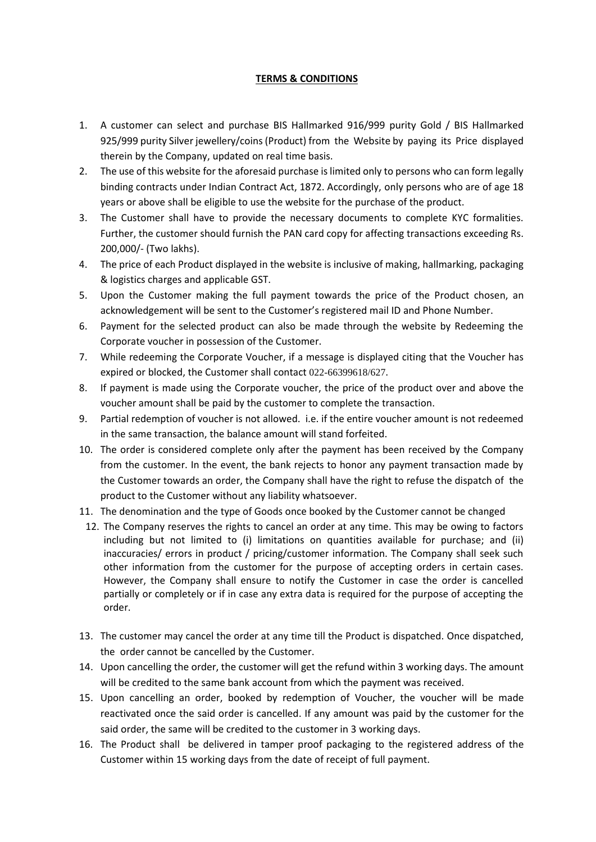## **TERMS & CONDITIONS**

- 1. A customer can select and purchase BIS Hallmarked 916/999 purity Gold / BIS Hallmarked 925/999 purity Silver jewellery/coins (Product) from the Website by paying its Price displayed therein by the Company, updated on real time basis.
- 2. The use of this website for the aforesaid purchase is limited only to persons who can form legally binding contracts under Indian Contract Act, 1872. Accordingly, only persons who are of age 18 years or above shall be eligible to use the website for the purchase of the product.
- 3. The Customer shall have to provide the necessary documents to complete KYC formalities. Further, the customer should furnish the PAN card copy for affecting transactions exceeding Rs. 200,000/- (Two lakhs).
- 4. The price of each Product displayed in the website is inclusive of making, hallmarking, packaging & logistics charges and applicable GST.
- 5. Upon the Customer making the full payment towards the price of the Product chosen, an acknowledgement will be sent to the Customer's registered mail ID and Phone Number.
- 6. Payment for the selected product can also be made through the website by Redeeming the Corporate voucher in possession of the Customer.
- 7. While redeeming the Corporate Voucher, if a message is displayed citing that the Voucher has expired or blocked, the Customer shall contact 022-66399618/627.
- 8. If payment is made using the Corporate voucher, the price of the product over and above the voucher amount shall be paid by the customer to complete the transaction.
- 9. Partial redemption of voucher is not allowed. i.e. if the entire voucher amount is not redeemed in the same transaction, the balance amount will stand forfeited.
- 10. The order is considered complete only after the payment has been received by the Company from the customer. In the event, the bank rejects to honor any payment transaction made by the Customer towards an order, the Company shall have the right to refuse the dispatch of the product to the Customer without any liability whatsoever.
- 11. The denomination and the type of Goods once booked by the Customer cannot be changed
- 12. The Company reserves the rights to cancel an order at any time. This may be owing to factors including but not limited to (i) limitations on quantities available for purchase; and (ii) inaccuracies/ errors in product / pricing/customer information. The Company shall seek such other information from the customer for the purpose of accepting orders in certain cases. However, the Company shall ensure to notify the Customer in case the order is cancelled partially or completely or if in case any extra data is required for the purpose of accepting the order.
- 13. The customer may cancel the order at any time till the Product is dispatched. Once dispatched, the order cannot be cancelled by the Customer.
- 14. Upon cancelling the order, the customer will get the refund within 3 working days. The amount will be credited to the same bank account from which the payment was received.
- 15. Upon cancelling an order, booked by redemption of Voucher, the voucher will be made reactivated once the said order is cancelled. If any amount was paid by the customer for the said order, the same will be credited to the customer in 3 working days.
- 16. The Product shall be delivered in tamper proof packaging to the registered address of the Customer within 15 working days from the date of receipt of full payment.